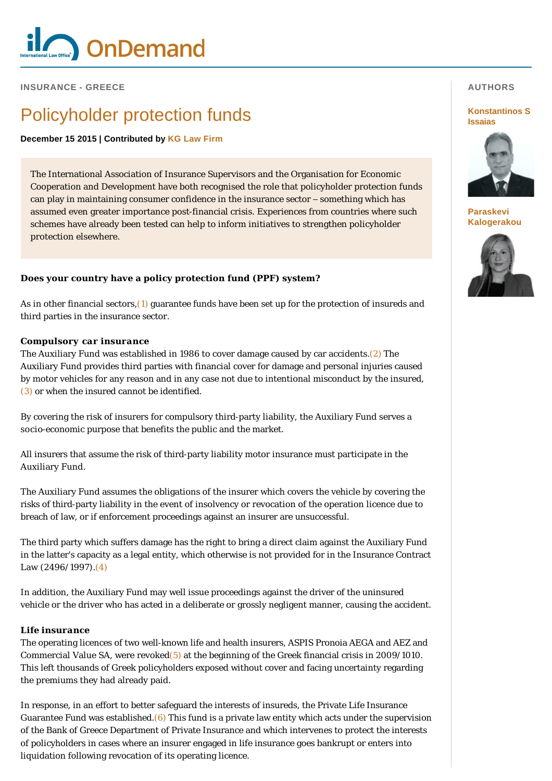

**INSURANCE - GREECE** 

# Policyholder protection funds

**December 15 2015 | Contributed by [KG Law Firm](http://www.internationallawoffice.com/gesr.ashx?l=7Q9Y26A)**

The International Association of Insurance Supervisors and the Organisation for Economic Cooperation and Development have both recognised the role that policyholder protection funds can play in maintaining consumer confidence in the insurance sector – something which has assumed even greater importance post-financial crisis. Experiences from countries where such schemes have already been tested can help to inform initiatives to strengthen policyholder protection elsewhere.

### **Does your country have a policy protection fund (PPF) system?**

As in other financial sectors, $(1)$  guarantee funds have been set up for the protection of insureds and third parties in the insurance sector.

#### *Compulsory car insurance*

The Auxiliary Fund was established in 1986 to cover damage caused by car accidents[.\(2\)](#page-3-0) The Auxiliary Fund provides third parties with financial cover for damage and personal injuries caused by motor vehicles for any reason and in any case not due to intentional misconduct by the insured, [\(3\)](#page-3-1) or when the insured cannot be identified.

By covering the risk of insurers for compulsory third-party liability, the Auxiliary Fund serves a socio-economic purpose that benefits the public and the market.

All insurers that assume the risk of third-party liability motor insurance must participate in the Auxiliary Fund.

The Auxiliary Fund assumes the obligations of the insurer which covers the vehicle by covering the risks of third-party liability in the event of insolvency or revocation of the operation licence due to breach of law, or if enforcement proceedings against an insurer are unsuccessful.

The third party which suffers damage has the right to bring a direct claim against the Auxiliary Fund in the latter's capacity as a legal entity, which otherwise is not provided for in the Insurance Contract Law (2496/1997).[\(4\)](#page-3-2)

In addition, the Auxiliary Fund may well issue proceedings against the driver of the uninsured vehicle or the driver who has acted in a deliberate or grossly negligent manner, causing the accident.

#### *Life insurance*

The operating licences of two well-known life and health insurers, ASPIS Pronoia AEGA and AEZ and Commercial Value SA, were revoked $(5)$  at the beginning of the Greek financial crisis in 2009/1010. This left thousands of Greek policyholders exposed without cover and facing uncertainty regarding the premiums they had already paid.

In response, in an effort to better safeguard the interests of insureds, the Private Life Insurance Guarantee Fund was established. $(6)$  This fund is a private law entity which acts under the supervision of the Bank of Greece Department of Private Insurance and which intervenes to protect the interests of policyholders in cases where an insurer engaged in life insurance goes bankrupt or enters into liquidation following revocation of its operating licence.

### **AUTHORS**

#### **[Konstantinos S](http://www.internationallawoffice.com/gesr.ashx?l=7Q9Y26G)  Issaias**



**Paraskevi [Kalogerakou](http://www.internationallawoffice.com/gesr.ashx?l=7Q9Y26K)**

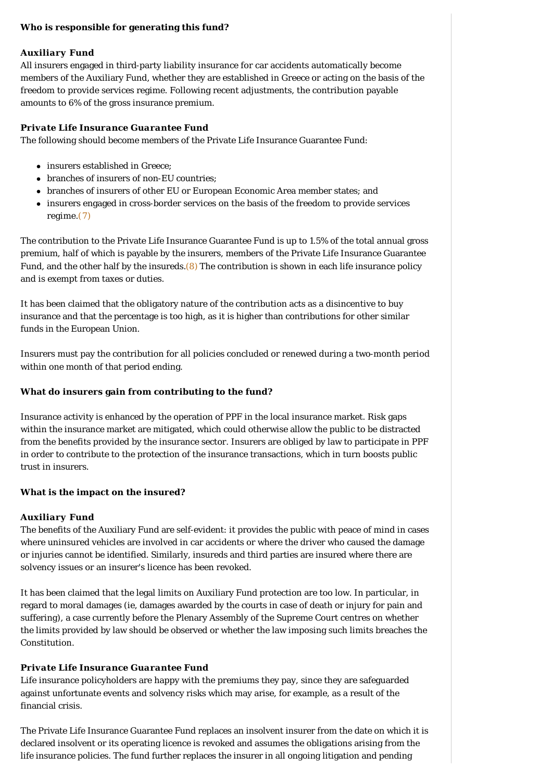#### **Who is responsible for generating this fund?**

#### *Auxiliary Fund*

All insurers engaged in third-party liability insurance for car accidents automatically become members of the Auxiliary Fund, whether they are established in Greece or acting on the basis of the freedom to provide services regime. Following recent adjustments, the contribution payable amounts to 6% of the gross insurance premium.

### *Private Life Insurance Guarantee Fund*

The following should become members of the Private Life Insurance Guarantee Fund:

- insurers established in Greece;
- branches of insurers of non-EU countries;
- branches of insurers of other EU or European Economic Area member states; and
- <sup>l</sup> insurers engaged in cross-border services on the basis of the freedom to provide services regime[.\(7\)](#page-3-5)

The contribution to the Private Life Insurance Guarantee Fund is up to 1.5% of the total annual gross premium, half of which is payable by the insurers, members of the Private Life Insurance Guarantee Fund, and the other half by the insureds. $(8)$  The contribution is shown in each life insurance policy and is exempt from taxes or duties.

It has been claimed that the obligatory nature of the contribution acts as a disincentive to buy insurance and that the percentage is too high, as it is higher than contributions for other similar funds in the European Union.

Insurers must pay the contribution for all policies concluded or renewed during a two-month period within one month of that period ending.

#### **What do insurers gain from contributing to the fund?**

Insurance activity is enhanced by the operation of PPF in the local insurance market. Risk gaps within the insurance market are mitigated, which could otherwise allow the public to be distracted from the benefits provided by the insurance sector. Insurers are obliged by law to participate in PPF in order to contribute to the protection of the insurance transactions, which in turn boosts public trust in insurers.

### **What is the impact on the insured?**

### *Auxiliary Fund*

The benefits of the Auxiliary Fund are self-evident: it provides the public with peace of mind in cases where uninsured vehicles are involved in car accidents or where the driver who caused the damage or injuries cannot be identified. Similarly, insureds and third parties are insured where there are solvency issues or an insurer's licence has been revoked.

It has been claimed that the legal limits on Auxiliary Fund protection are too low. In particular, in regard to moral damages (ie, damages awarded by the courts in case of death or injury for pain and suffering), a case currently before the Plenary Assembly of the Supreme Court centres on whether the limits provided by law should be observed or whether the law imposing such limits breaches the Constitution.

### *Private Life Insurance Guarantee Fund*

Life insurance policyholders are happy with the premiums they pay, since they are safeguarded against unfortunate events and solvency risks which may arise, for example, as a result of the financial crisis.

The Private Life Insurance Guarantee Fund replaces an insolvent insurer from the date on which it is declared insolvent or its operating licence is revoked and assumes the obligations arising from the life insurance policies. The fund further replaces the insurer in all ongoing litigation and pending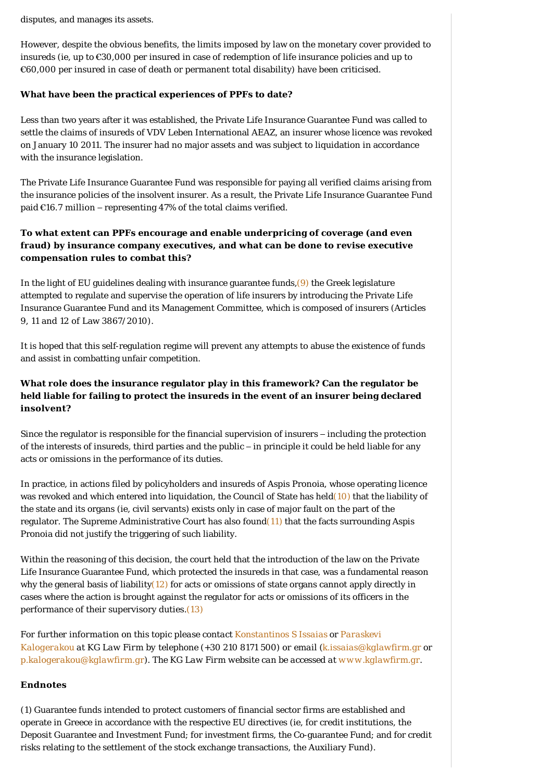disputes, and manages its assets.

However, despite the obvious benefits, the limits imposed by law on the monetary cover provided to insureds (ie, up to €30,000 per insured in case of redemption of life insurance policies and up to €60,000 per insured in case of death or permanent total disability) have been criticised.

#### **What have been the practical experiences of PPFs to date?**

Less than two years after it was established, the Private Life Insurance Guarantee Fund was called to settle the claims of insureds of VDV Leben International AEAZ, an insurer whose licence was revoked on January 10 2011. The insurer had no major assets and was subject to liquidation in accordance with the insurance legislation.

The Private Life Insurance Guarantee Fund was responsible for paying all verified claims arising from the insurance policies of the insolvent insurer. As a result, the Private Life Insurance Guarantee Fund paid €16.7 million – representing 47% of the total claims verified.

# **To what extent can PPFs encourage and enable underpricing of coverage (and even fraud) by insurance company executives, and what can be done to revise executive compensation rules to combat this?**

In the light of EU guidelines dealing with insurance guarantee funds,  $(9)$  the Greek legislature attempted to regulate and supervise the operation of life insurers by introducing the Private Life Insurance Guarantee Fund and its Management Committee, which is composed of insurers (Articles 9, 11 and 12 of Law 3867/2010).

It is hoped that this self-regulation regime will prevent any attempts to abuse the existence of funds and assist in combatting unfair competition.

# **What role does the insurance regulator play in this framework? Can the regulator be held liable for failing to protect the insureds in the event of an insurer being declared insolvent?**

Since the regulator is responsible for the financial supervision of insurers – including the protection of the interests of insureds, third parties and the public – in principle it could be held liable for any acts or omissions in the performance of its duties.

In practice, in actions filed by policyholders and insureds of Aspis Pronoia, whose operating licence was revoked and which entered into liquidation, the Council of State has hel[d\(10\)](#page-3-8) that the liability of the state and its organs (ie, civil servants) exists only in case of major fault on the part of the regulator. The Supreme Administrative Court has also foun[d\(11\)](#page-3-9) that the facts surrounding Aspis Pronoia did not justify the triggering of such liability.

Within the reasoning of this decision, the court held that the introduction of the law on the Private Life Insurance Guarantee Fund, which protected the insureds in that case, was a fundamental reason why the general basis of liability $(12)$  for acts or omissions of state organs cannot apply directly in cases where the action is brought against the regulator for acts or omissions of its officers in the performance of their supervisory duties.[\(13\)](#page-3-11)

*[For further information on this topic please contact K](http://www.internationallawoffice.com/gesr.ashx?l=7Q9Y26K)[onstantinos S Issaias](http://www.internationallawoffice.com/gesr.ashx?l=7Q9Y26G) [or Paraskevi](http://www.internationallawoffice.com/gesr.ashx?l=7Q9Y26K)  Kalogerakou at KG Law Firm by telephone (+30 210 8171 500) or email ([k.issaias@kglawfirm.gr](mailto:k.issaias@kglawfirm.gr?subject=Article%20on%20ILO) or [p.kalogerakou@kglawfirm.gr](mailto:p.kalogerakou@kglawfirm.gr)). The KG Law Firm website can be accessed at [www.kglawfirm.gr](http://www.internationallawoffice.com/gesr.ashx?l=7Q9Y26N).*

### **Endnotes**

<span id="page-2-0"></span>(1) Guarantee funds intended to protect customers of financial sector firms are established and operate in Greece in accordance with the respective EU directives (ie, for credit institutions, the Deposit Guarantee and Investment Fund; for investment firms, the Co-guarantee Fund; and for credit risks relating to the settlement of the stock exchange transactions, the Auxiliary Fund).